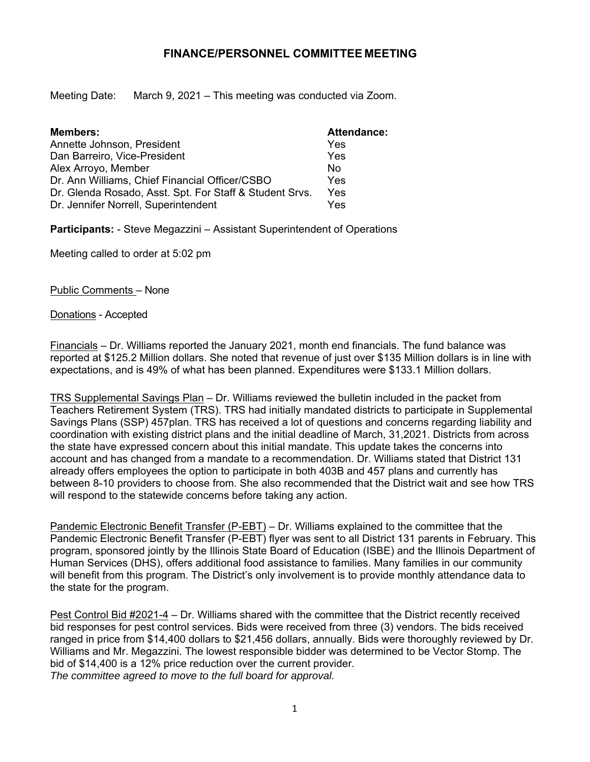## **FINANCE/PERSONNEL COMMITTEE MEETING**

Meeting Date: March 9, 2021 – This meeting was conducted via Zoom.

| <b>Members:</b>                                         | <b>Attendance:</b> |
|---------------------------------------------------------|--------------------|
| Annette Johnson, President                              | Yes                |
| Dan Barreiro, Vice-President                            | Yes                |
| Alex Arroyo, Member                                     | No                 |
| Dr. Ann Williams, Chief Financial Officer/CSBO          | Yes                |
| Dr. Glenda Rosado, Asst. Spt. For Staff & Student Srvs. | Yes                |
| Dr. Jennifer Norrell, Superintendent                    | Yes                |

**Participants:** - Steve Megazzini – Assistant Superintendent of Operations

Meeting called to order at 5:02 pm

Public Comments – None

Donations - Accepted

Financials – Dr. Williams reported the January 2021, month end financials. The fund balance was reported at \$125.2 Million dollars. She noted that revenue of just over \$135 Million dollars is in line with expectations, and is 49% of what has been planned. Expenditures were \$133.1 Million dollars.

TRS Supplemental Savings Plan – Dr. Williams reviewed the bulletin included in the packet from Teachers Retirement System (TRS). TRS had initially mandated districts to participate in Supplemental Savings Plans (SSP) 457plan. TRS has received a lot of questions and concerns regarding liability and coordination with existing district plans and the initial deadline of March, 31,2021. Districts from across the state have expressed concern about this initial mandate. This update takes the concerns into account and has changed from a mandate to a recommendation. Dr. Williams stated that District 131 already offers employees the option to participate in both 403B and 457 plans and currently has between 8-10 providers to choose from. She also recommended that the District wait and see how TRS will respond to the statewide concerns before taking any action.

Pandemic Electronic Benefit Transfer (P-EBT) – Dr. Williams explained to the committee that the Pandemic Electronic Benefit Transfer (P-EBT) flyer was sent to all District 131 parents in February. This program, sponsored jointly by the Illinois State Board of Education (ISBE) and the Illinois Department of Human Services (DHS), offers additional food assistance to families. Many families in our community will benefit from this program. The District's only involvement is to provide monthly attendance data to the state for the program.

Pest Control Bid #2021-4 – Dr. Williams shared with the committee that the District recently received bid responses for pest control services. Bids were received from three (3) vendors. The bids received ranged in price from \$14,400 dollars to \$21,456 dollars, annually. Bids were thoroughly reviewed by Dr. Williams and Mr. Megazzini. The lowest responsible bidder was determined to be Vector Stomp. The bid of \$14,400 is a 12% price reduction over the current provider. *The committee agreed to move to the full board for approval.*